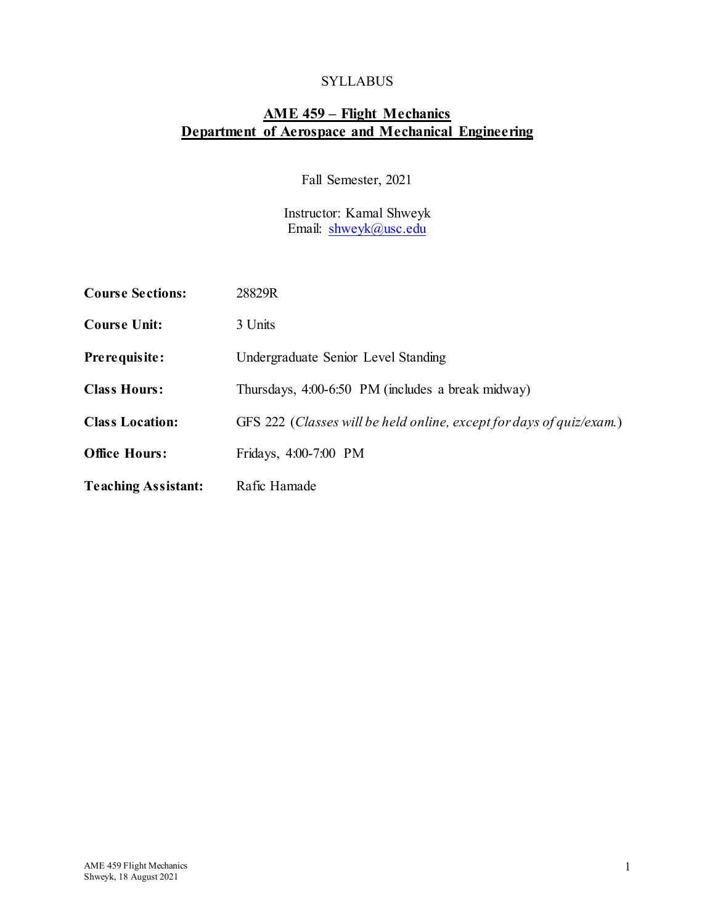### SYLLABUS

## **AME 459 – Flight Mechanics Department of Aerospace and Mechanical Engineering**

Fall Semester, 2021

Instructor: Kamal Shweyk Email: [shweyk@usc.edu](mailto:shweyk@usc.edu)

| <b>Course Sections:</b>    | 28829R                                                               |  |  |
|----------------------------|----------------------------------------------------------------------|--|--|
| <b>Course Unit:</b>        | 3 Units                                                              |  |  |
| Pre requisite:             | Undergraduate Senior Level Standing                                  |  |  |
| <b>Class Hours:</b>        | Thursdays, 4:00-6:50 PM (includes a break midway)                    |  |  |
| <b>Class Location:</b>     | GFS 222 (Classes will be held online, except for days of quiz/exam.) |  |  |
| <b>Office Hours:</b>       | Fridays, 4:00-7:00 PM                                                |  |  |
| <b>Teaching Assistant:</b> | Rafic Hamade                                                         |  |  |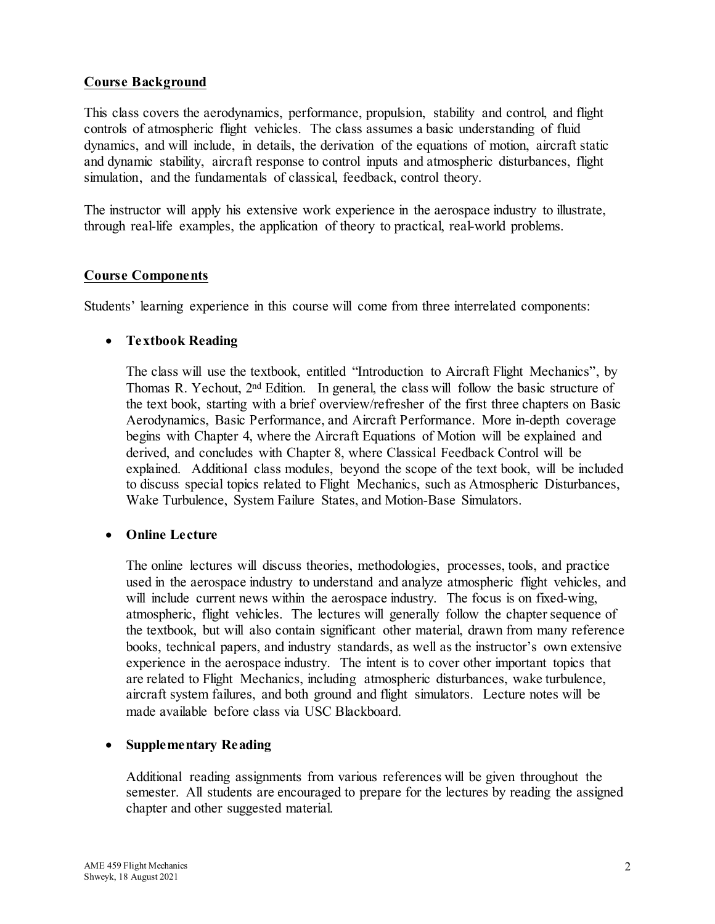### **Course Background**

This class covers the aerodynamics, performance, propulsion, stability and control, and flight controls of atmospheric flight vehicles. The class assumes a basic understanding of fluid dynamics, and will include, in details, the derivation of the equations of motion, aircraft static and dynamic stability, aircraft response to control inputs and atmospheric disturbances, flight simulation, and the fundamentals of classical, feedback, control theory.

The instructor will apply his extensive work experience in the aerospace industry to illustrate, through real-life examples, the application of theory to practical, real-world problems.

### **Course Components**

Students' learning experience in this course will come from three interrelated components:

#### • **Textbook Reading**

The class will use the textbook, entitled "Introduction to Aircraft Flight Mechanics", by Thomas R. Yechout, 2nd Edition. In general, the class will follow the basic structure of the text book, starting with a brief overview/refresher of the first three chapters on Basic Aerodynamics, Basic Performance, and Aircraft Performance. More in-depth coverage begins with Chapter 4, where the Aircraft Equations of Motion will be explained and derived, and concludes with Chapter 8, where Classical Feedback Control will be explained. Additional class modules, beyond the scope of the text book, will be included to discuss special topics related to Flight Mechanics, such as Atmospheric Disturbances, Wake Turbulence, System Failure States, and Motion-Base Simulators.

#### • **Online Lecture**

The online lectures will discuss theories, methodologies, processes, tools, and practice used in the aerospace industry to understand and analyze atmospheric flight vehicles, and will include current news within the aerospace industry. The focus is on fixed-wing, atmospheric, flight vehicles. The lectures will generally follow the chapter sequence of the textbook, but will also contain significant other material, drawn from many reference books, technical papers, and industry standards, as well as the instructor's own extensive experience in the aerospace industry. The intent is to cover other important topics that are related to Flight Mechanics, including atmospheric disturbances, wake turbulence, aircraft system failures, and both ground and flight simulators. Lecture notes will be made available before class via USC Blackboard.

### • **Supplementary Reading**

Additional reading assignments from various references will be given throughout the semester. All students are encouraged to prepare for the lectures by reading the assigned chapter and other suggested material.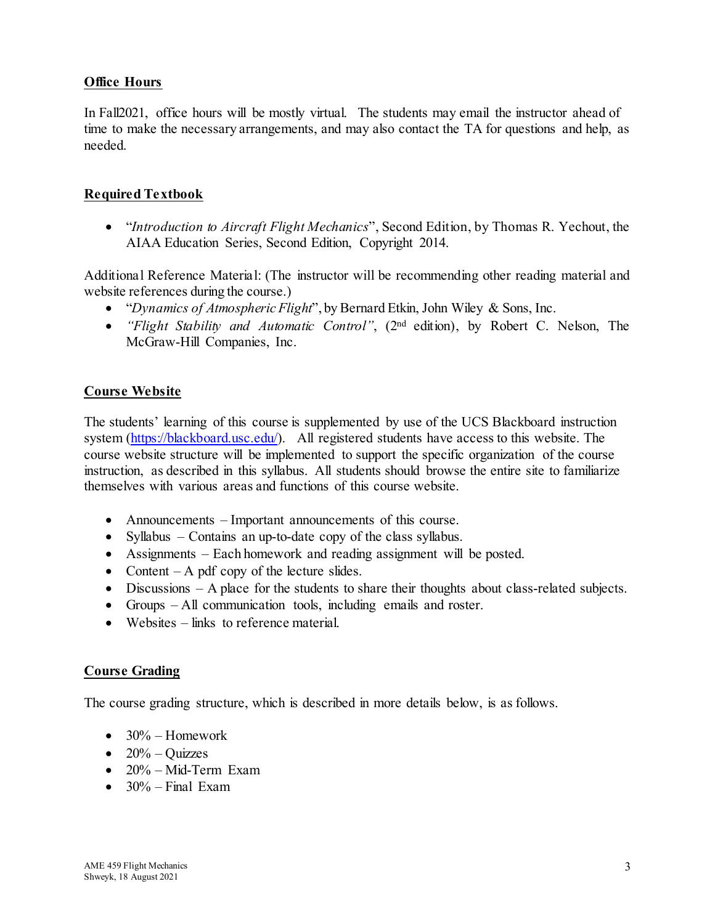### **Office Hours**

In Fall2021, office hours will be mostly virtual. The students may email the instructor ahead of time to make the necessary arrangements, and may also contact the TA for questions and help, as needed.

### **Required Textbook**

• "*Introduction to Aircraft Flight Mechanics*", Second Edition, by Thomas R. Yechout, the AIAA Education Series, Second Edition, Copyright 2014.

Additional Reference Material: (The instructor will be recommending other reading material and website references during the course.)

- "*Dynamics of Atmospheric Flight*", by Bernard Etkin, John Wiley & Sons, Inc.
- *"Flight Stability and Automatic Control"*, (2nd edition), by Robert C. Nelson, The McGraw-Hill Companies, Inc.

### **Course Website**

The students' learning of this course is supplemented by use of the UCS Blackboard instruction system [\(https://blackboard.usc.edu/\).](https://blackboard.usc.edu/) All registered students have access to this website. The course website structure will be implemented to support the specific organization of the course instruction, as described in this syllabus. All students should browse the entire site to familiarize themselves with various areas and functions of this course website.

- Announcements Important announcements of this course.
- Syllabus Contains an up-to-date copy of the class syllabus.
- Assignments Each homework and reading assignment will be posted.
- Content  $-A$  pdf copy of the lecture slides.
- Discussions A place for the students to share their thoughts about class-related subjects.
- Groups All communication tools, including emails and roster.
- Websites links to reference material.

### **Course Grading**

The course grading structure, which is described in more details below, is as follows.

- $\bullet$  30% Homework
- $20\%$  Ouizzes
- 20% Mid-Term Exam
- $30\%$  Final Exam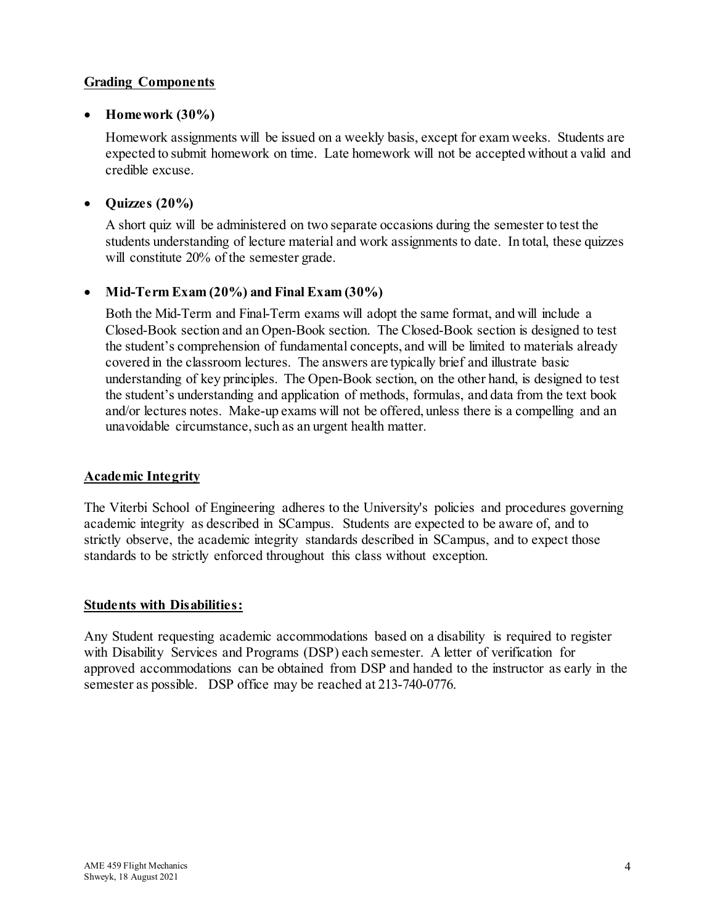### **Grading Components**

### • **Homework (30%)**

Homework assignments will be issued on a weekly basis, except for exam weeks. Students are expected to submit homework on time. Late homework will not be accepted without a valid and credible excuse.

### • **Quizzes (20%)**

A short quiz will be administered on two separate occasions during the semester to test the students understanding of lecture material and work assignments to date. In total, these quizzes will constitute 20% of the semester grade.

### • **Mid-Term Exam (20%) and Final Exam (30%)**

Both the Mid-Term and Final-Term exams will adopt the same format, and will include a Closed-Book section and an Open-Book section. The Closed-Book section is designed to test the student's comprehension of fundamental concepts, and will be limited to materials already covered in the classroom lectures. The answers are typically brief and illustrate basic understanding of key principles. The Open-Book section, on the other hand, is designed to test the student's understanding and application of methods, formulas, and data from the text book and/or lectures notes. Make-up exams will not be offered, unless there is a compelling and an unavoidable circumstance, such as an urgent health matter.

### **Academic Integrity**

The Viterbi School of Engineering adheres to the University's policies and procedures governing academic integrity as described in SCampus. Students are expected to be aware of, and to strictly observe, the academic integrity standards described in SCampus, and to expect those standards to be strictly enforced throughout this class without exception.

### **Students with Disabilities:**

Any Student requesting academic accommodations based on a disability is required to register with Disability Services and Programs (DSP) each semester. A letter of verification for approved accommodations can be obtained from DSP and handed to the instructor as early in the semester as possible. DSP office may be reached at 213-740-0776.